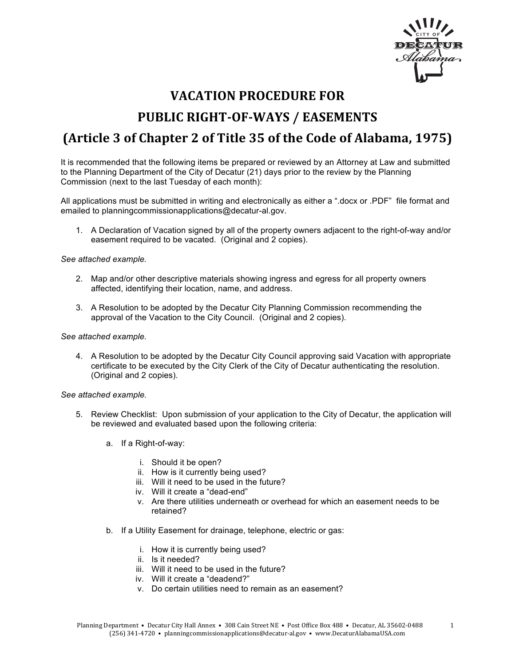

# **VACATION PROCEDURE FOR PUBLIC RIGHT-OF-WAYS / EASEMENTS (Article 3 of Chapter 2 of Title 35 of the Code of Alabama, 1975)**

It is recommended that the following items be prepared or reviewed by an Attorney at Law and submitted to the Planning Department of the City of Decatur (21) days prior to the review by the Planning Commission (next to the last Tuesday of each month):

All applications must be submitted in writing and electronically as either a ".docx or .PDF" file format and emailed to planningcommissionapplications@decatur-al.gov.

1. A Declaration of Vacation signed by all of the property owners adjacent to the right-of-way and/or easement required to be vacated. (Original and 2 copies).

#### *See attached example.*

- 2. Map and/or other descriptive materials showing ingress and egress for all property owners affected, identifying their location, name, and address.
- 3. A Resolution to be adopted by the Decatur City Planning Commission recommending the approval of the Vacation to the City Council. (Original and 2 copies).

#### *See attached example.*

4. A Resolution to be adopted by the Decatur City Council approving said Vacation with appropriate certificate to be executed by the City Clerk of the City of Decatur authenticating the resolution. (Original and 2 copies).

#### *See attached example.*

- 5. Review Checklist: Upon submission of your application to the City of Decatur, the application will be reviewed and evaluated based upon the following criteria:
	- a. If a Right-of-way:
		- i. Should it be open?
		- ii. How is it currently being used?
		- iii. Will it need to be used in the future?
		- iv. Will it create a "dead-end"
		- v. Are there utilities underneath or overhead for which an easement needs to be retained?
	- b. If a Utility Easement for drainage, telephone, electric or gas:
		- i. How it is currently being used?
		- ii. Is it needed?
		- iii. Will it need to be used in the future?
		- iv. Will it create a "deadend?"
		- v. Do certain utilities need to remain as an easement?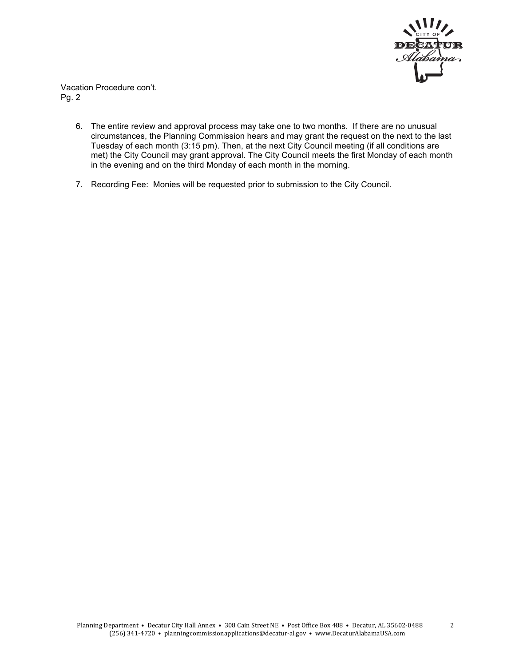

Vacation Procedure con't. Pg. 2

- 6. The entire review and approval process may take one to two months. If there are no unusual circumstances, the Planning Commission hears and may grant the request on the next to the last Tuesday of each month (3:15 pm). Then, at the next City Council meeting (if all conditions are met) the City Council may grant approval. The City Council meets the first Monday of each month in the evening and on the third Monday of each month in the morning.
- 7. Recording Fee: Monies will be requested prior to submission to the City Council.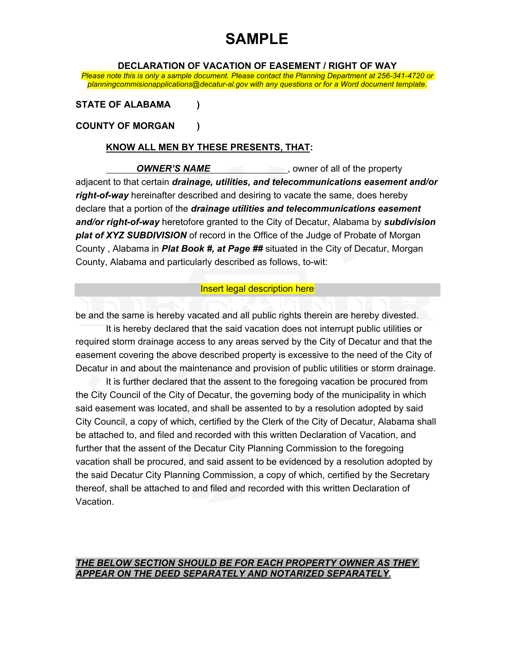**DECLARATION OF VACATION OF EASEMENT / RIGHT OF WAY**

*Please note this is only a sample document. Please contact the Planning Department at 256-341-4720 or planningcommisionapplications@decatur-al.gov with any questions or for a Word document template.*

### **STATE OF ALABAMA )**

### **COUNTY OF MORGAN )**

### **KNOW ALL MEN BY THESE PRESENTS, THAT:**

**OWNER'S NAME** , owner of all of the property adjacent to that certain *drainage, utilities, and telecommunications easement and/or right-of-way* hereinafter described and desiring to vacate the same, does hereby declare that a portion of the *drainage utilities and telecommunications easement and/or right-of-way* heretofore granted to the City of Decatur, Alabama by *subdivision plat of XYZ SUBDIVISION* of record in the Office of the Judge of Probate of Morgan County , Alabama in *Plat Book #, at Page ##* situated in the City of Decatur, Morgan County, Alabama and particularly described as follows, to-wit:

### Insert legal description here

be and the same is hereby vacated and all public rights therein are hereby divested.

It is hereby declared that the said vacation does not interrupt public utilities or required storm drainage access to any areas served by the City of Decatur and that the easement covering the above described property is excessive to the need of the City of Decatur in and about the maintenance and provision of public utilities or storm drainage.

It is further declared that the assent to the foregoing vacation be procured from the City Council of the City of Decatur, the governing body of the municipality in which said easement was located, and shall be assented to by a resolution adopted by said City Council, a copy of which, certified by the Clerk of the City of Decatur, Alabama shall be attached to, and filed and recorded with this written Declaration of Vacation, and further that the assent of the Decatur City Planning Commission to the foregoing vacation shall be procured, and said assent to be evidenced by a resolution adopted by the said Decatur City Planning Commission, a copy of which, certified by the Secretary thereof, shall be attached to and filed and recorded with this written Declaration of Vacation.

### *THE BELOW SECTION SHOULD BE FOR EACH PROPERTY OWNER AS THEY APPEAR ON THE DEED SEPARATELY AND NOTARIZED SEPARATELY.*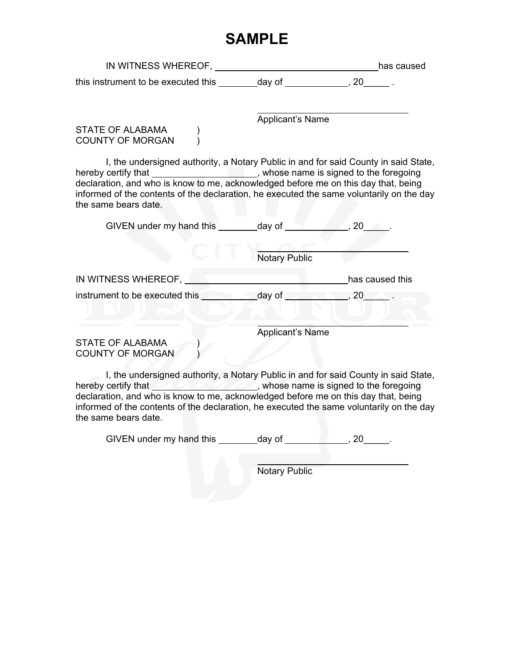| IN WITNESS WHEREOF.                 |        | has caused |
|-------------------------------------|--------|------------|
| this instrument to be executed this | dav of |            |

Applicant's Name

STATE OF ALABAMA (a) COUNTY OF MORGAN (1)

I, the undersigned authority, a Notary Public in and for said County in said State, hereby certify that \_\_\_\_\_\_\_\_\_\_\_\_\_\_\_\_\_\_\_\_\_\_, whose name is signed to the foregoing declaration, and who is know to me, acknowledged before me on this day that, being informed of the contents of the declaration, he executed the same voluntarily on the day the same bears date.

| GIVEN under my hand this                           | _day of              | .20             |
|----------------------------------------------------|----------------------|-----------------|
|                                                    | <b>Notary Public</b> |                 |
| IN WITNESS WHEREOF,                                |                      | has caused this |
| instrument to be executed this _                   | day of               | , 20            |
| <b>STATE OF ALABAMA</b><br><b>COUNTY OF MORGAN</b> | Applicant's Name     |                 |

I, the undersigned authority, a Notary Public in and for said County in said State, hereby certify that **the contract of the state of the foregoing**, whose name is signed to the foregoing declaration, and who is know to me, acknowledged before me on this day that, being informed of the contents of the declaration, he executed the same voluntarily on the day the same bears date.

GIVEN under my hand this  $\qquad \qquad$  day of  $\qquad \qquad$ , 20  $\qquad \qquad$ .

Notary Public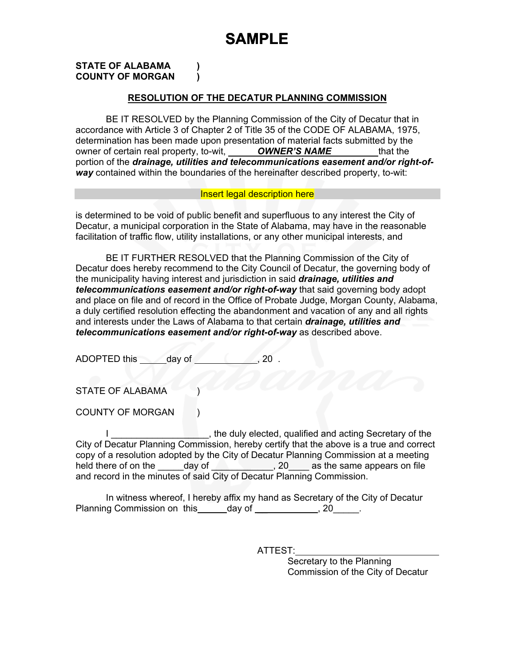#### **STATE OF ALABAMA ) COUNTY OF MORGAN )**

### **RESOLUTION OF THE DECATUR PLANNING COMMISSION**

BE IT RESOLVED by the Planning Commission of the City of Decatur that in accordance with Article 3 of Chapter 2 of Title 35 of the CODE OF ALABAMA, 1975, determination has been made upon presentation of material facts submitted by the owner of certain real property, to-wit, *OWNER'S NAME* that the portion of the *drainage, utilities and telecommunications easement and/or right-ofway* contained within the boundaries of the hereinafter described property, to-wit:

#### Insert legal description here

is determined to be void of public benefit and superfluous to any interest the City of Decatur, a municipal corporation in the State of Alabama, may have in the reasonable facilitation of traffic flow, utility installations, or any other municipal interests, and

BE IT FURTHER RESOLVED that the Planning Commission of the City of Decatur does hereby recommend to the City Council of Decatur, the governing body of the municipality having interest and jurisdiction in said *drainage, utilities and telecommunications easement and/or right-of-way* that said governing body adopt and place on file and of record in the Office of Probate Judge, Morgan County, Alabama, a duly certified resolution effecting the abandonment and vacation of any and all rights and interests under the Laws of Alabama to that certain *drainage, utilities and telecommunications easement and/or right-of-way* as described above.

ADOPTED this day of , 20 .

STATE OF ALABAMA

COUNTY OF MORGAN ()

I \_\_\_\_\_\_\_\_\_\_\_\_\_\_\_\_\_\_\_, the duly elected, qualified and acting Secretary of the City of Decatur Planning Commission, hereby certify that the above is a true and correct copy of a resolution adopted by the City of Decatur Planning Commission at a meeting held there of on the day of the case of  $\sim$ , 20 as the same appears on file and record in the minutes of said City of Decatur Planning Commission.

In witness whereof, I hereby affix my hand as Secretary of the City of Decatur Planning Commission on this  $\qquad \qquad$  day of  $\qquad \qquad$ , 20 $\qquad \qquad$ .

ATTEST:

Secretary to the Planning Commission of the City of Decatur